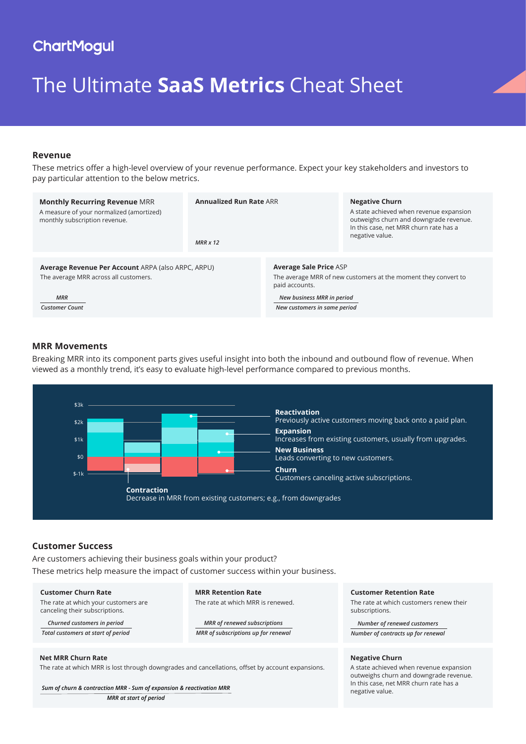# **ChartMogul**

# The Ultimate **SaaS Metrics** Cheat Sheet

# **Revenue**

These metrics offer a high-level overview of your revenue performance. Expect your key stakeholders and investors to pay particular attention to the below metrics.

| <b>Monthly Recurring Revenue MRR</b><br>A measure of your normalized (amortized)<br>monthly subscription revenue. | <b>Annualized Run Rate ARR</b><br>$MRR \times 12$ |                                                                                                                   | <b>Negative Churn</b><br>A state achieved when revenue expansion<br>outweighs churn and downgrade revenue.<br>In this case, net MRR churn rate has a<br>negative value. |  |
|-------------------------------------------------------------------------------------------------------------------|---------------------------------------------------|-------------------------------------------------------------------------------------------------------------------|-------------------------------------------------------------------------------------------------------------------------------------------------------------------------|--|
|                                                                                                                   |                                                   |                                                                                                                   |                                                                                                                                                                         |  |
| Average Revenue Per Account ARPA (also ARPC, ARPU)<br>The average MRR across all customers.                       |                                                   | <b>Average Sale Price ASP</b><br>The average MRR of new customers at the moment they convert to<br>paid accounts. |                                                                                                                                                                         |  |
| <b>MRR</b><br><b>Customer Count</b>                                                                               |                                                   | New business MRR in period<br>New customers in same period                                                        |                                                                                                                                                                         |  |

# **MRR Movements**

Breaking MRR into its component parts gives useful insight into both the inbound and outbound flow of revenue. When viewed as a monthly trend, it's easy to evaluate high-level performance compared to previous months.



# **Customer Success**

Are customers achieving their business goals within your product? These metrics help measure the impact of customer success within your business.

**Customer Churn Rate** The rate at which your customers are canceling their subscriptions.

*Churned customers in period Total customers at start of period* **MRR Retention Rate** The rate at which MRR is renewed.

*MRR of renewed subscriptions MRR of subscriptions up for renewal*

#### **Net MRR Churn Rate** The rate at which MRR is lost through downgrades and cancellations, offset by account expansions.

*Sum of churn & contraction MRR - Sum of expansion & reactivation MRR MRR at start of period*

#### **Customer Retention Rate**

The rate at which customers renew their subscriptions.

*Number of renewed customers Number of contracts up for renewal*

#### **Negative Churn**

A state achieved when revenue expansion outweighs churn and downgrade revenue. In this case, net MRR churn rate has a negative value.